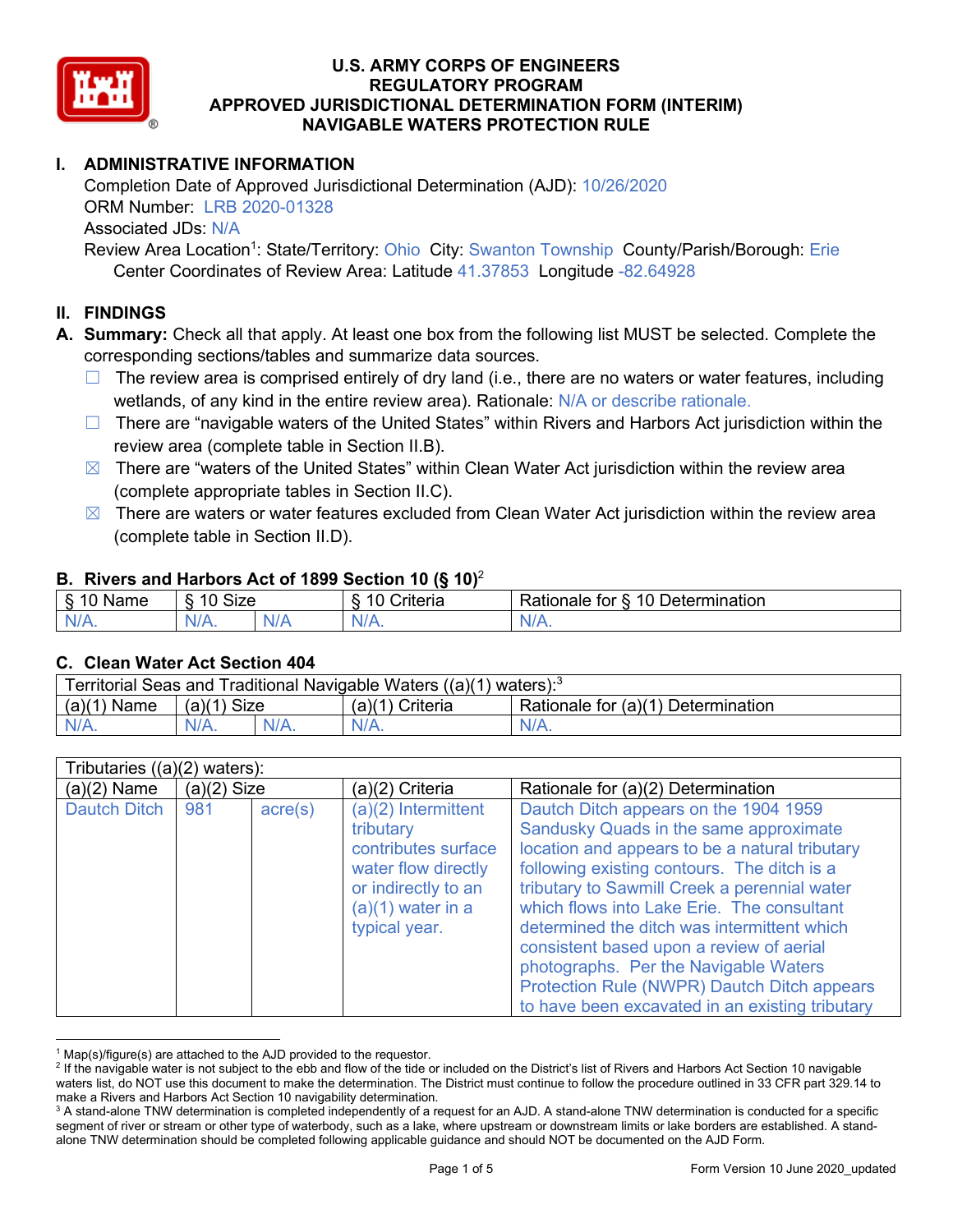

# **I. ADMINISTRATIVE INFORMATION**

Completion Date of Approved Jurisdictional Determination (AJD): 10/26/2020 ORM Number: LRB 2020-01328 Associated JDs: N/A

Review Area Location<sup>1</sup>: State/Territory: Ohio City: Swanton Township County/Parish/Borough: Erie Center Coordinates of Review Area: Latitude 41.37853 Longitude -82.64928

### **II. FINDINGS**

**A. Summary:** Check all that apply. At least one box from the following list MUST be selected. Complete the corresponding sections/tables and summarize data sources.

- $\Box$  The review area is comprised entirely of dry land (i.e., there are no waters or water features, including wetlands, of any kind in the entire review area). Rationale: N/A or describe rationale.
- $\Box$  There are "navigable waters of the United States" within Rivers and Harbors Act jurisdiction within the review area (complete table in Section II.B).
- $\boxtimes$  There are "waters of the United States" within Clean Water Act jurisdiction within the review area (complete appropriate tables in Section II.C).
- $\boxtimes$  There are waters or water features excluded from Clean Water Act jurisdiction within the review area (complete table in Section II.D).

#### **B. Rivers and Harbors Act of 1899 Section 10 (§ 10)**<sup>2</sup>

| $\cdot$             |                      |  |                        |                                                           |  |  |
|---------------------|----------------------|--|------------------------|-----------------------------------------------------------|--|--|
| $\sim$<br>.<br>lame | $\sim$<br>10<br>SIZE |  | . .<br>`riteria<br>. . | $\sim$ 10 $\Gamma$ .<br>Determination<br>tor<br>≺ationale |  |  |
| $N/A$ .             | NI/4<br>17.          |  | N.<br>,,,,,,           | NI.<br>$\mathbf{v}$                                       |  |  |

#### **C. Clean Water Act Section 404**

| Territorial Seas and Traditional Navigable Waters $((a)(1)$ waters): <sup>3</sup> |               |  |                   |                                    |  |
|-----------------------------------------------------------------------------------|---------------|--|-------------------|------------------------------------|--|
| (a)(1)<br>Name                                                                    | $(a)(1)$ Size |  | $(a)(1)$ Criteria | Rationale for (a)(1) Determination |  |
|                                                                                   | $N/A$ .       |  | $N/A$ .           | $N/A$ .                            |  |

| Tributaries ((a)(2) waters): |               |                  |                                                                                                                                               |                                                                                                                                                                                                                                                                                                                                                                                                                                                                                                                      |  |
|------------------------------|---------------|------------------|-----------------------------------------------------------------------------------------------------------------------------------------------|----------------------------------------------------------------------------------------------------------------------------------------------------------------------------------------------------------------------------------------------------------------------------------------------------------------------------------------------------------------------------------------------------------------------------------------------------------------------------------------------------------------------|--|
| $(a)(2)$ Name                | $(a)(2)$ Size |                  | (a)(2) Criteria                                                                                                                               | Rationale for (a)(2) Determination                                                                                                                                                                                                                                                                                                                                                                                                                                                                                   |  |
| <b>Dautch Ditch</b>          | 981           | $\text{acre}(s)$ | (a)(2) Intermittent<br>tributary<br>contributes surface<br>water flow directly<br>or indirectly to an<br>$(a)(1)$ water in a<br>typical year. | Dautch Ditch appears on the 1904 1959<br>Sandusky Quads in the same approximate<br>location and appears to be a natural tributary<br>following existing contours. The ditch is a<br>tributary to Sawmill Creek a perennial water<br>which flows into Lake Erie. The consultant<br>determined the ditch was intermittent which<br>consistent based upon a review of aerial<br>photographs. Per the Navigable Waters<br>Protection Rule (NWPR) Dautch Ditch appears<br>to have been excavated in an existing tributary |  |

 $1$  Map(s)/figure(s) are attached to the AJD provided to the requestor.

<sup>&</sup>lt;sup>2</sup> If the navigable water is not subject to the ebb and flow of the tide or included on the District's list of Rivers and Harbors Act Section 10 navigable waters list, do NOT use this document to make the determination. The District must continue to follow the procedure outlined in 33 CFR part 329.14 to make a Rivers and Harbors Act Section 10 navigability determination.

<sup>&</sup>lt;sup>3</sup> A stand-alone TNW determination is completed independently of a request for an AJD. A stand-alone TNW determination is conducted for a specific segment of river or stream or other type of waterbody, such as a lake, where upstream or downstream limits or lake borders are established. A standalone TNW determination should be completed following applicable guidance and should NOT be documented on the AJD Form.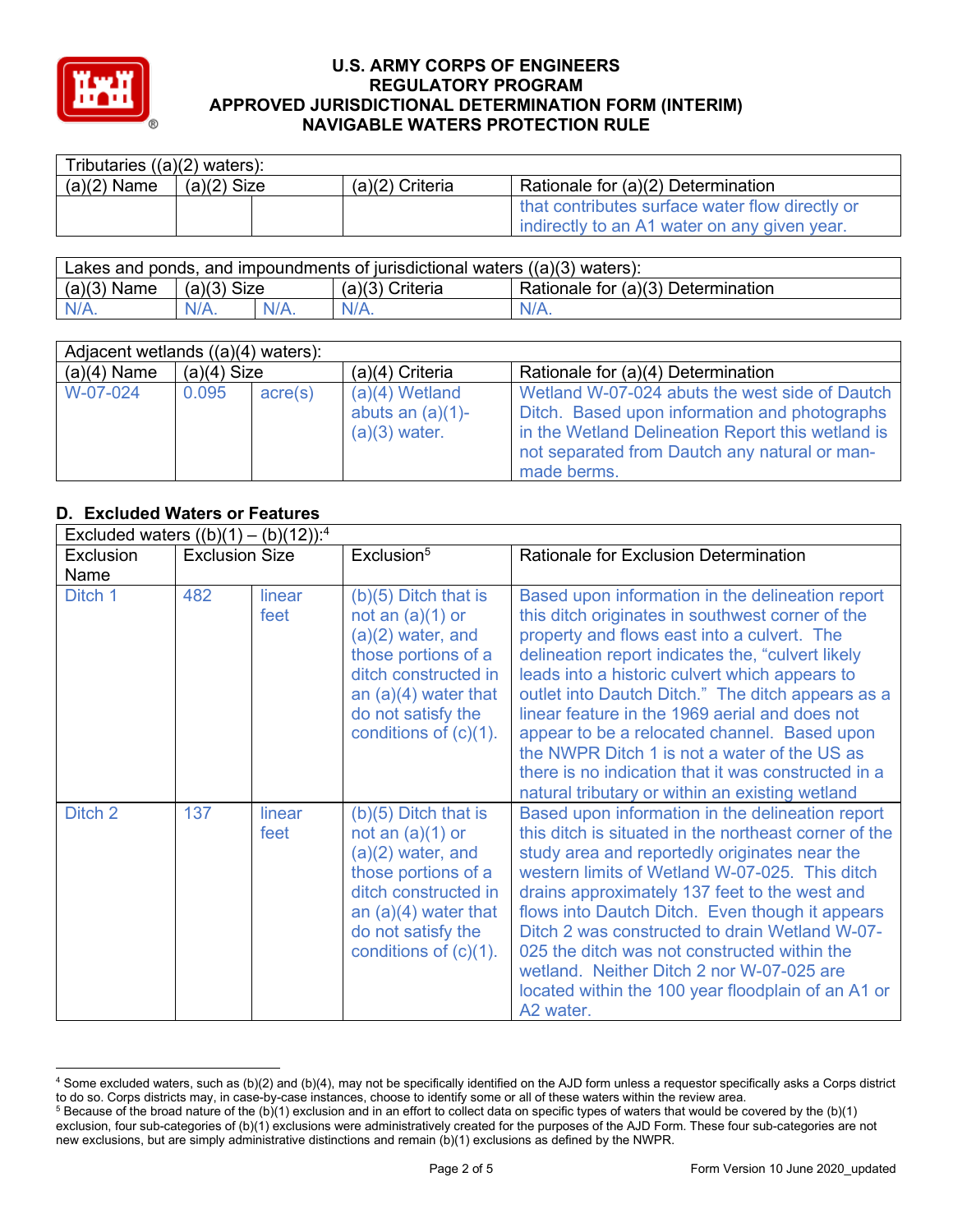

| Tributaries $((a)(2)$ waters): |               |                   |                                                                                                 |  |  |
|--------------------------------|---------------|-------------------|-------------------------------------------------------------------------------------------------|--|--|
| $(a)(2)$ Name                  | $(a)(2)$ Size | $(a)(2)$ Criteria | Rationale for (a)(2) Determination                                                              |  |  |
|                                |               |                   | that contributes surface water flow directly or<br>indirectly to an A1 water on any given year. |  |  |

| Lakes and ponds, and impoundments of jurisdictional waters $((a)(3)$ waters): |               |         |                   |                                    |  |
|-------------------------------------------------------------------------------|---------------|---------|-------------------|------------------------------------|--|
| $(a)(3)$ Name                                                                 | $(a)(3)$ Size |         | $(a)(3)$ Criteria | Rationale for (a)(3) Determination |  |
| $N/A$ .                                                                       | $N/A$ .       | $N/A$ . | $N/A$ .           | $N/A$ .                            |  |

| Adjacent wetlands $((a)(4)$ waters): |               |         |                                                            |                                                                                                                                                                                                                      |  |
|--------------------------------------|---------------|---------|------------------------------------------------------------|----------------------------------------------------------------------------------------------------------------------------------------------------------------------------------------------------------------------|--|
| $(a)(4)$ Name                        | $(a)(4)$ Size |         | $(a)(4)$ Criteria                                          | Rationale for (a)(4) Determination                                                                                                                                                                                   |  |
| W-07-024                             | 0.095         | acre(s) | $(a)(4)$ Wetland<br>abuts an $(a)(1)$ -<br>$(a)(3)$ water. | Wetland W-07-024 abuts the west side of Dautch<br>Ditch. Based upon information and photographs<br>in the Wetland Delineation Report this wetland is<br>not separated from Dautch any natural or man-<br>made berms. |  |

# **D. Excluded Waters or Features**

|           | Excluded waters $((b)(1) - (b)(12))$ : <sup>4</sup> |                |                                                                                                                                                                                                |                                                                                                                                                                                                                                                                                                                                                                                                                                                                                                                                                                             |  |  |
|-----------|-----------------------------------------------------|----------------|------------------------------------------------------------------------------------------------------------------------------------------------------------------------------------------------|-----------------------------------------------------------------------------------------------------------------------------------------------------------------------------------------------------------------------------------------------------------------------------------------------------------------------------------------------------------------------------------------------------------------------------------------------------------------------------------------------------------------------------------------------------------------------------|--|--|
| Exclusion | <b>Exclusion Size</b>                               |                | Exclusion <sup>5</sup>                                                                                                                                                                         | Rationale for Exclusion Determination                                                                                                                                                                                                                                                                                                                                                                                                                                                                                                                                       |  |  |
| Name      |                                                     |                |                                                                                                                                                                                                |                                                                                                                                                                                                                                                                                                                                                                                                                                                                                                                                                                             |  |  |
| Ditch 1   | 482                                                 | linear<br>feet | $(b)(5)$ Ditch that is<br>not an $(a)(1)$ or<br>$(a)(2)$ water, and<br>those portions of a<br>ditch constructed in<br>an $(a)(4)$ water that<br>do not satisfy the<br>conditions of $(c)(1)$ . | Based upon information in the delineation report<br>this ditch originates in southwest corner of the<br>property and flows east into a culvert. The<br>delineation report indicates the, "culvert likely<br>leads into a historic culvert which appears to<br>outlet into Dautch Ditch." The ditch appears as a<br>linear feature in the 1969 aerial and does not<br>appear to be a relocated channel. Based upon<br>the NWPR Ditch 1 is not a water of the US as<br>there is no indication that it was constructed in a<br>natural tributary or within an existing wetland |  |  |
| Ditch 2   | 137                                                 | linear<br>feet | $(b)(5)$ Ditch that is<br>not an $(a)(1)$ or<br>$(a)(2)$ water, and<br>those portions of a<br>ditch constructed in<br>an $(a)(4)$ water that<br>do not satisfy the<br>conditions of $(c)(1)$ . | Based upon information in the delineation report<br>this ditch is situated in the northeast corner of the<br>study area and reportedly originates near the<br>western limits of Wetland W-07-025. This ditch<br>drains approximately 137 feet to the west and<br>flows into Dautch Ditch. Even though it appears<br>Ditch 2 was constructed to drain Wetland W-07-<br>025 the ditch was not constructed within the<br>wetland. Neither Ditch 2 nor W-07-025 are<br>located within the 100 year floodplain of an A1 or<br>A2 water.                                          |  |  |

<sup>4</sup> Some excluded waters, such as (b)(2) and (b)(4), may not be specifically identified on the AJD form unless a requestor specifically asks a Corps district to do so. Corps districts may, in case-by-case instances, choose to identify some or all of these waters within the review area.

 $5$  Because of the broad nature of the (b)(1) exclusion and in an effort to collect data on specific types of waters that would be covered by the (b)(1) exclusion, four sub-categories of (b)(1) exclusions were administratively created for the purposes of the AJD Form. These four sub-categories are not new exclusions, but are simply administrative distinctions and remain (b)(1) exclusions as defined by the NWPR.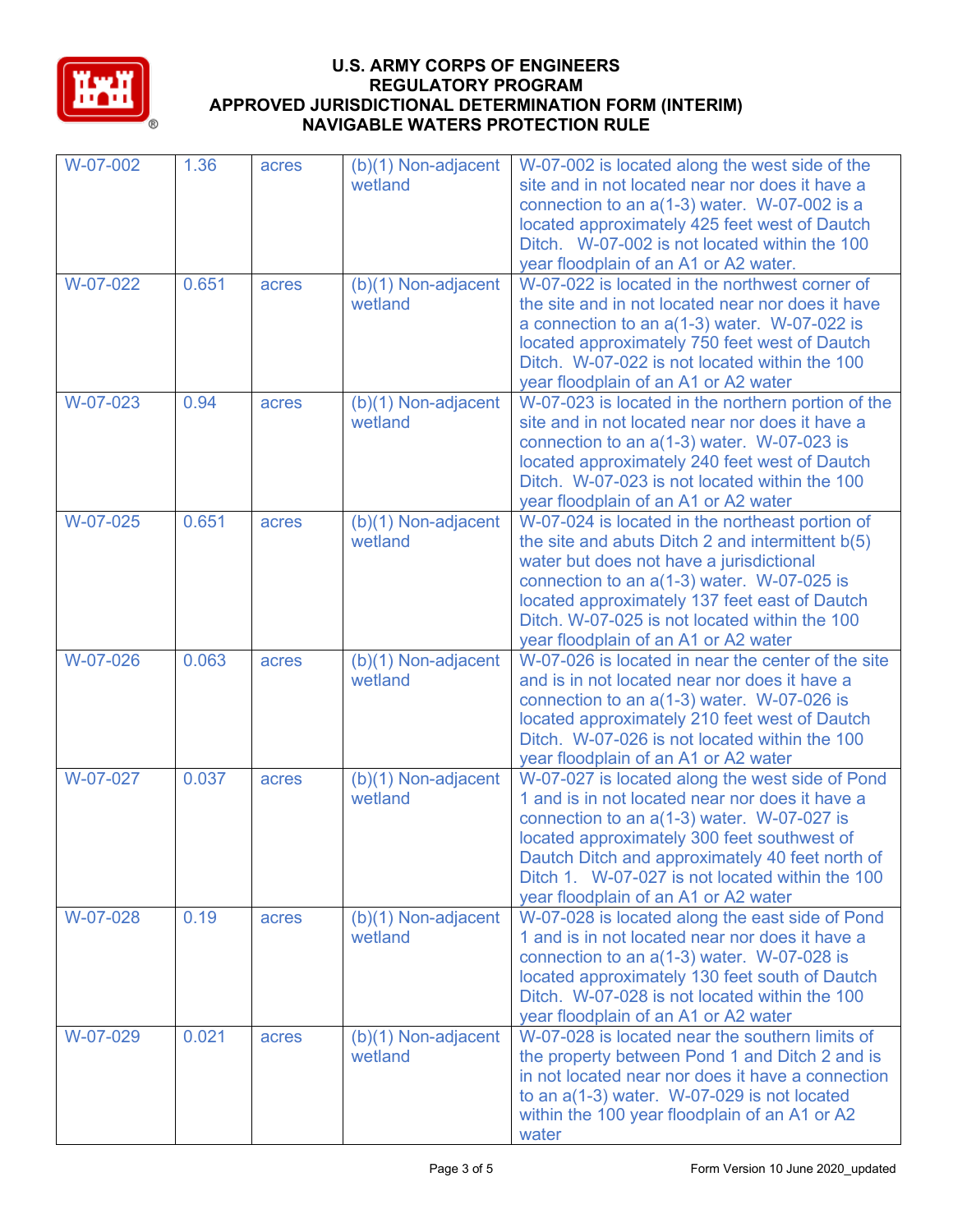

| W-07-002 | 1.36  | acres | $(b)(1)$ Non-adjacent<br>wetland | W-07-002 is located along the west side of the<br>site and in not located near nor does it have a<br>connection to an $a(1-3)$ water. W-07-002 is a<br>located approximately 425 feet west of Dautch<br>Ditch. W-07-002 is not located within the 100<br>year floodplain of an A1 or A2 water.                                                  |
|----------|-------|-------|----------------------------------|-------------------------------------------------------------------------------------------------------------------------------------------------------------------------------------------------------------------------------------------------------------------------------------------------------------------------------------------------|
| W-07-022 | 0.651 | acres | (b)(1) Non-adjacent<br>wetland   | W-07-022 is located in the northwest corner of<br>the site and in not located near nor does it have<br>a connection to an $a(1-3)$ water. W-07-022 is<br>located approximately 750 feet west of Dautch<br>Ditch. W-07-022 is not located within the 100<br>year floodplain of an A1 or A2 water                                                 |
| W-07-023 | 0.94  | acres | $(b)(1)$ Non-adjacent<br>wetland | W-07-023 is located in the northern portion of the<br>site and in not located near nor does it have a<br>connection to an $a(1-3)$ water. W-07-023 is<br>located approximately 240 feet west of Dautch<br>Ditch. W-07-023 is not located within the 100<br>year floodplain of an A1 or A2 water                                                 |
| W-07-025 | 0.651 | acres | (b)(1) Non-adjacent<br>wetland   | W-07-024 is located in the northeast portion of<br>the site and abuts Ditch 2 and intermittent b(5)<br>water but does not have a jurisdictional<br>connection to an $a(1-3)$ water. W-07-025 is<br>located approximately 137 feet east of Dautch<br>Ditch. W-07-025 is not located within the 100<br>year floodplain of an A1 or A2 water       |
| W-07-026 | 0.063 | acres | (b)(1) Non-adjacent<br>wetland   | W-07-026 is located in near the center of the site<br>and is in not located near nor does it have a<br>connection to an $a(1-3)$ water. W-07-026 is<br>located approximately 210 feet west of Dautch<br>Ditch. W-07-026 is not located within the 100<br>year floodplain of an A1 or A2 water                                                   |
| W-07-027 | 0.037 | acres | $(b)(1)$ Non-adjacent<br>wetland | W-07-027 is located along the west side of Pond<br>1 and is in not located near nor does it have a<br>connection to an $a(1-3)$ water. W-07-027 is<br>located approximately 300 feet southwest of<br>Dautch Ditch and approximately 40 feet north of<br>Ditch 1. W-07-027 is not located within the 100<br>year floodplain of an A1 or A2 water |
| W-07-028 | 0.19  | acres | $(b)(1)$ Non-adjacent<br>wetland | W-07-028 is located along the east side of Pond<br>1 and is in not located near nor does it have a<br>connection to an a(1-3) water. W-07-028 is<br>located approximately 130 feet south of Dautch<br>Ditch. W-07-028 is not located within the 100<br>year floodplain of an A1 or A2 water                                                     |
| W-07-029 | 0.021 | acres | $(b)(1)$ Non-adjacent<br>wetland | W-07-028 is located near the southern limits of<br>the property between Pond 1 and Ditch 2 and is<br>in not located near nor does it have a connection<br>to an $a(1-3)$ water. W-07-029 is not located<br>within the 100 year floodplain of an A1 or A2<br>water                                                                               |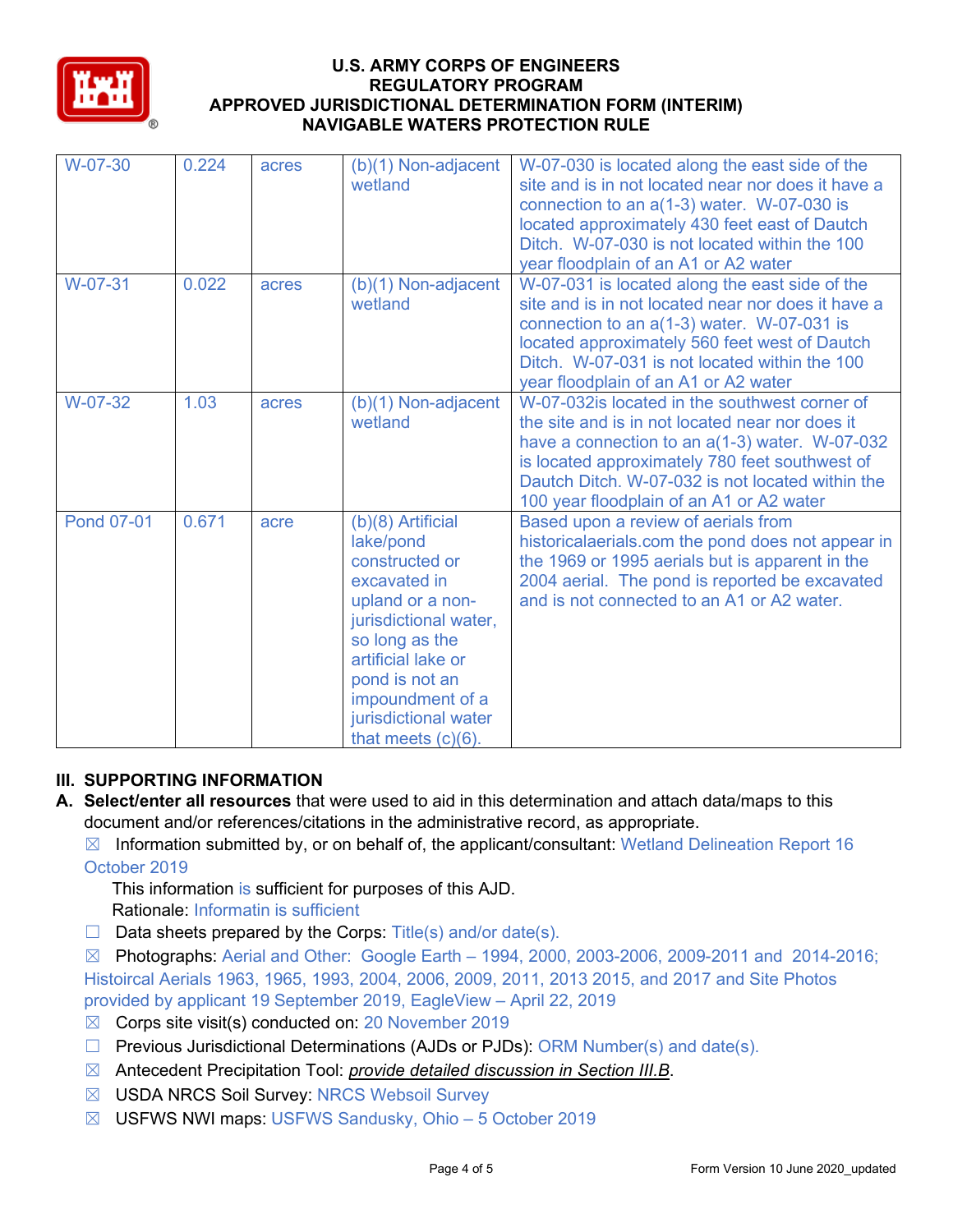

| W-07-30           | 0.224 | acres | $(b)(1)$ Non-adjacent<br>wetland                                                                                                                                                                                                               | W-07-030 is located along the east side of the<br>site and is in not located near nor does it have a<br>connection to an $a(1-3)$ water. W-07-030 is<br>located approximately 430 feet east of Dautch<br>Ditch. W-07-030 is not located within the 100<br>year floodplain of an A1 or A2 water        |
|-------------------|-------|-------|------------------------------------------------------------------------------------------------------------------------------------------------------------------------------------------------------------------------------------------------|-------------------------------------------------------------------------------------------------------------------------------------------------------------------------------------------------------------------------------------------------------------------------------------------------------|
| W-07-31           | 0.022 | acres | $(b)(1)$ Non-adjacent<br>wetland                                                                                                                                                                                                               | W-07-031 is located along the east side of the<br>site and is in not located near nor does it have a<br>connection to an $a(1-3)$ water. W-07-031 is<br>located approximately 560 feet west of Dautch<br>Ditch. W-07-031 is not located within the 100<br>year floodplain of an A1 or A2 water        |
| W-07-32           | 1.03  | acres | $(b)(1)$ Non-adjacent<br>wetland                                                                                                                                                                                                               | W-07-032 is located in the southwest corner of<br>the site and is in not located near nor does it<br>have a connection to an a(1-3) water. W-07-032<br>is located approximately 780 feet southwest of<br>Dautch Ditch. W-07-032 is not located within the<br>100 year floodplain of an A1 or A2 water |
| <b>Pond 07-01</b> | 0.671 | acre  | $(b)(8)$ Artificial<br>lake/pond<br>constructed or<br>excavated in<br>upland or a non-<br>jurisdictional water,<br>so long as the<br>artificial lake or<br>pond is not an<br>impoundment of a<br>jurisdictional water<br>that meets $(c)(6)$ . | Based upon a review of aerials from<br>historicalaerials.com the pond does not appear in<br>the 1969 or 1995 aerials but is apparent in the<br>2004 aerial. The pond is reported be excavated<br>and is not connected to an A1 or A2 water.                                                           |

## **III. SUPPORTING INFORMATION**

- **A. Select/enter all resources** that were used to aid in this determination and attach data/maps to this document and/or references/citations in the administrative record, as appropriate.
	- $\boxtimes$  Information submitted by, or on behalf of, the applicant/consultant: Wetland Delineation Report 16 October 2019
		- This information is sufficient for purposes of this AJD.
		- Rationale: Informatin is sufficient
	- $\Box$  Data sheets prepared by the Corps: Title(s) and/or date(s).

 $\boxtimes$  Photographs: Aerial and Other: Google Earth – 1994, 2000, 2003-2006, 2009-2011 and 2014-2016; Histoircal Aerials 1963, 1965, 1993, 2004, 2006, 2009, 2011, 2013 2015, and 2017 and Site Photos provided by applicant 19 September 2019, EagleView – April 22, 2019

- ☒ Corps site visit(s) conducted on: 20 November 2019
- $\Box$  Previous Jurisdictional Determinations (AJDs or PJDs): ORM Number(s) and date(s).
- ☒ Antecedent Precipitation Tool: *provide detailed discussion in Section III.B*.
- ☒ USDA NRCS Soil Survey: NRCS Websoil Survey
- ☒ USFWS NWI maps: USFWS Sandusky, Ohio 5 October 2019